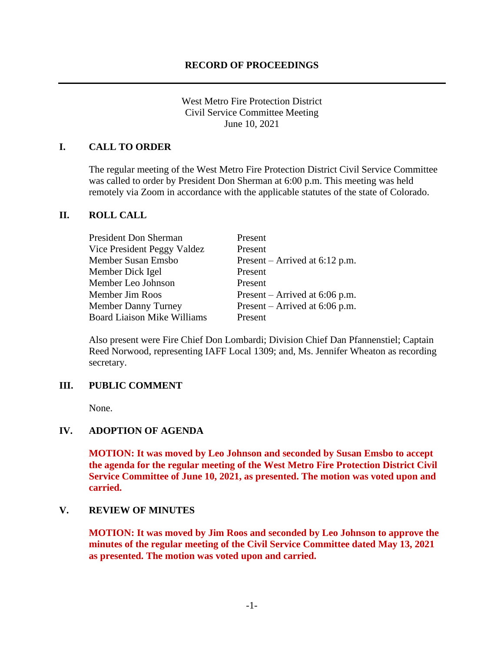West Metro Fire Protection District Civil Service Committee Meeting June 10, 2021

## **I. CALL TO ORDER**

The regular meeting of the West Metro Fire Protection District Civil Service Committee was called to order by President Don Sherman at 6:00 p.m. This meeting was held remotely via Zoom in accordance with the applicable statutes of the state of Colorado.

### **II. ROLL CALL**

| Present                          |
|----------------------------------|
| Present                          |
| Present – Arrived at $6:12$ p.m. |
| Present                          |
| Present                          |
| Present – Arrived at $6:06$ p.m. |
| Present – Arrived at $6:06$ p.m. |
| Present                          |
|                                  |

Also present were Fire Chief Don Lombardi; Division Chief Dan Pfannenstiel; Captain Reed Norwood, representing IAFF Local 1309; and, Ms. Jennifer Wheaton as recording secretary.

### **III. PUBLIC COMMENT**

None.

# **IV. ADOPTION OF AGENDA**

**MOTION: It was moved by Leo Johnson and seconded by Susan Emsbo to accept the agenda for the regular meeting of the West Metro Fire Protection District Civil Service Committee of June 10, 2021, as presented. The motion was voted upon and carried.**

### **V. REVIEW OF MINUTES**

**MOTION: It was moved by Jim Roos and seconded by Leo Johnson to approve the minutes of the regular meeting of the Civil Service Committee dated May 13, 2021 as presented. The motion was voted upon and carried.**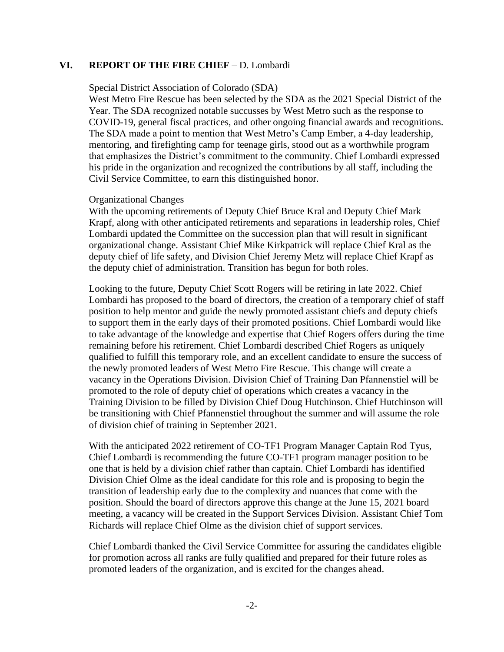### **VI. REPORT OF THE FIRE CHIEF** – D. Lombardi

#### Special District Association of Colorado (SDA)

West Metro Fire Rescue has been selected by the SDA as the 2021 Special District of the Year. The SDA recognized notable succusses by West Metro such as the response to COVID-19, general fiscal practices, and other ongoing financial awards and recognitions. The SDA made a point to mention that West Metro's Camp Ember, a 4-day leadership, mentoring, and firefighting camp for teenage girls, stood out as a worthwhile program that emphasizes the District's commitment to the community. Chief Lombardi expressed his pride in the organization and recognized the contributions by all staff, including the Civil Service Committee, to earn this distinguished honor.

### Organizational Changes

With the upcoming retirements of Deputy Chief Bruce Kral and Deputy Chief Mark Krapf, along with other anticipated retirements and separations in leadership roles, Chief Lombardi updated the Committee on the succession plan that will result in significant organizational change. Assistant Chief Mike Kirkpatrick will replace Chief Kral as the deputy chief of life safety, and Division Chief Jeremy Metz will replace Chief Krapf as the deputy chief of administration. Transition has begun for both roles.

Looking to the future, Deputy Chief Scott Rogers will be retiring in late 2022. Chief Lombardi has proposed to the board of directors, the creation of a temporary chief of staff position to help mentor and guide the newly promoted assistant chiefs and deputy chiefs to support them in the early days of their promoted positions. Chief Lombardi would like to take advantage of the knowledge and expertise that Chief Rogers offers during the time remaining before his retirement. Chief Lombardi described Chief Rogers as uniquely qualified to fulfill this temporary role, and an excellent candidate to ensure the success of the newly promoted leaders of West Metro Fire Rescue. This change will create a vacancy in the Operations Division. Division Chief of Training Dan Pfannenstiel will be promoted to the role of deputy chief of operations which creates a vacancy in the Training Division to be filled by Division Chief Doug Hutchinson. Chief Hutchinson will be transitioning with Chief Pfannenstiel throughout the summer and will assume the role of division chief of training in September 2021.

With the anticipated 2022 retirement of CO-TF1 Program Manager Captain Rod Tyus, Chief Lombardi is recommending the future CO-TF1 program manager position to be one that is held by a division chief rather than captain. Chief Lombardi has identified Division Chief Olme as the ideal candidate for this role and is proposing to begin the transition of leadership early due to the complexity and nuances that come with the position. Should the board of directors approve this change at the June 15, 2021 board meeting, a vacancy will be created in the Support Services Division. Assistant Chief Tom Richards will replace Chief Olme as the division chief of support services.

Chief Lombardi thanked the Civil Service Committee for assuring the candidates eligible for promotion across all ranks are fully qualified and prepared for their future roles as promoted leaders of the organization, and is excited for the changes ahead.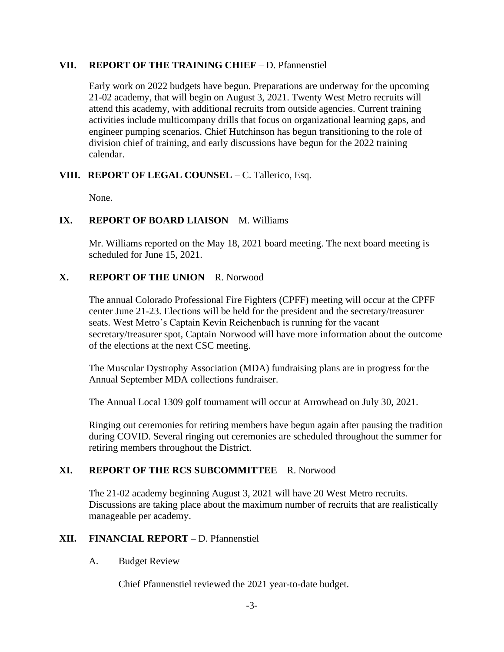## **VII. REPORT OF THE TRAINING CHIEF** – D. Pfannenstiel

Early work on 2022 budgets have begun. Preparations are underway for the upcoming 21-02 academy, that will begin on August 3, 2021. Twenty West Metro recruits will attend this academy, with additional recruits from outside agencies. Current training activities include multicompany drills that focus on organizational learning gaps, and engineer pumping scenarios. Chief Hutchinson has begun transitioning to the role of division chief of training, and early discussions have begun for the 2022 training calendar.

# **VIII. REPORT OF LEGAL COUNSEL** – C. Tallerico, Esq.

None.

# **IX. REPORT OF BOARD LIAISON – M. Williams**

Mr. Williams reported on the May 18, 2021 board meeting. The next board meeting is scheduled for June 15, 2021.

# **X. REPORT OF THE UNION** – R. Norwood

The annual Colorado Professional Fire Fighters (CPFF) meeting will occur at the CPFF center June 21-23. Elections will be held for the president and the secretary/treasurer seats. West Metro's Captain Kevin Reichenbach is running for the vacant secretary/treasurer spot, Captain Norwood will have more information about the outcome of the elections at the next CSC meeting.

The Muscular Dystrophy Association (MDA) fundraising plans are in progress for the Annual September MDA collections fundraiser.

The Annual Local 1309 golf tournament will occur at Arrowhead on July 30, 2021.

Ringing out ceremonies for retiring members have begun again after pausing the tradition during COVID. Several ringing out ceremonies are scheduled throughout the summer for retiring members throughout the District.

# **XI. REPORT OF THE RCS SUBCOMMITTEE** – R. Norwood

The 21-02 academy beginning August 3, 2021 will have 20 West Metro recruits. Discussions are taking place about the maximum number of recruits that are realistically manageable per academy.

# **XII. FINANCIAL REPORT –** D. Pfannenstiel

# A. Budget Review

Chief Pfannenstiel reviewed the 2021 year-to-date budget.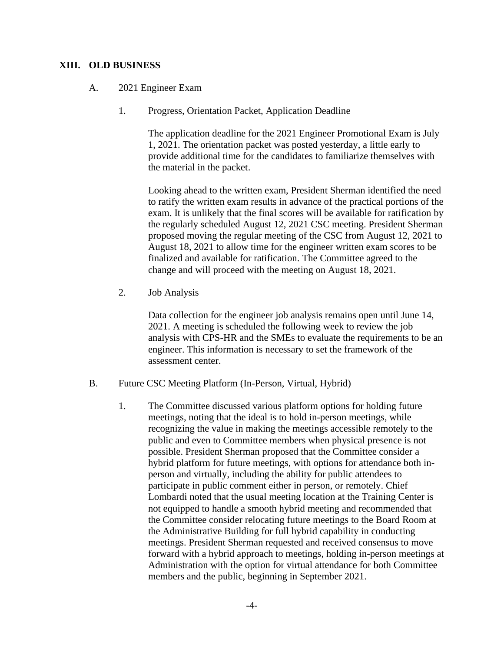## **XIII. OLD BUSINESS**

- A. 2021 Engineer Exam
	- 1. Progress, Orientation Packet, Application Deadline

The application deadline for the 2021 Engineer Promotional Exam is July 1, 2021. The orientation packet was posted yesterday, a little early to provide additional time for the candidates to familiarize themselves with the material in the packet.

Looking ahead to the written exam, President Sherman identified the need to ratify the written exam results in advance of the practical portions of the exam. It is unlikely that the final scores will be available for ratification by the regularly scheduled August 12, 2021 CSC meeting. President Sherman proposed moving the regular meeting of the CSC from August 12, 2021 to August 18, 2021 to allow time for the engineer written exam scores to be finalized and available for ratification. The Committee agreed to the change and will proceed with the meeting on August 18, 2021.

2. Job Analysis

Data collection for the engineer job analysis remains open until June 14, 2021. A meeting is scheduled the following week to review the job analysis with CPS-HR and the SMEs to evaluate the requirements to be an engineer. This information is necessary to set the framework of the assessment center.

- B. Future CSC Meeting Platform (In-Person, Virtual, Hybrid)
	- 1. The Committee discussed various platform options for holding future meetings, noting that the ideal is to hold in-person meetings, while recognizing the value in making the meetings accessible remotely to the public and even to Committee members when physical presence is not possible. President Sherman proposed that the Committee consider a hybrid platform for future meetings, with options for attendance both inperson and virtually, including the ability for public attendees to participate in public comment either in person, or remotely. Chief Lombardi noted that the usual meeting location at the Training Center is not equipped to handle a smooth hybrid meeting and recommended that the Committee consider relocating future meetings to the Board Room at the Administrative Building for full hybrid capability in conducting meetings. President Sherman requested and received consensus to move forward with a hybrid approach to meetings, holding in-person meetings at Administration with the option for virtual attendance for both Committee members and the public, beginning in September 2021.